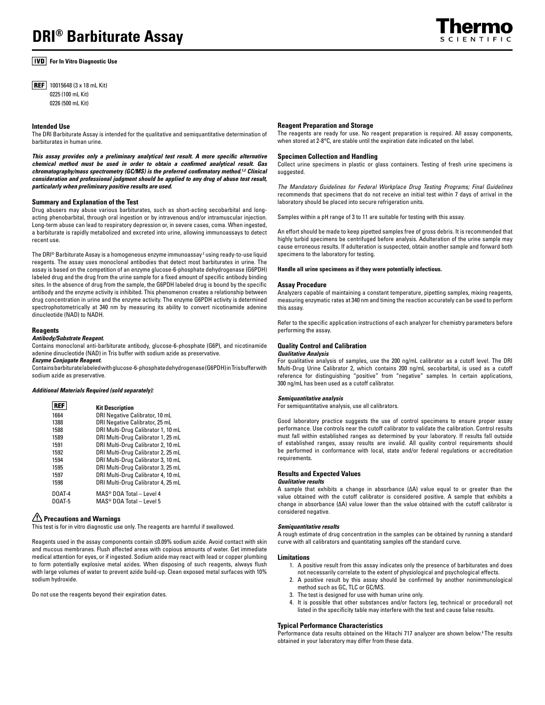# **For In Vitro Diagnostic Use**

- **REF** 10015648 ( $3 \times 18$  mL Kit)
	- 0225 (100 mL Kit) 0226 (500 mL Kit)

## **Intended Use**

The DRI Barbiturate Assay is intended for the qualitative and semiquantitative determination of barbiturates in human urine.

*This assay provides only a preliminary analytical test result. A more specific alternative chemical method must be used in order to obtain a confirmed analytical result. Gas chromatography/mass spectrometry (GC/MS) is the preferred confirmatory method.<sup>1,2</sup> Clinical consideration and professional judgment should be applied to any drug of abuse test result, particularly when preliminary positive results are used.*

# **Summary and Explanation of the Test**

Drug abusers may abuse various barbiturates, such as short-acting secobarbital and longacting phenobarbital, through oral ingestion or by intravenous and/or intramuscular injection. Long-term abuse can lead to respiratory depression or, in severe cases, coma. When ingested, a barbiturate is rapidly metabolized and excreted into urine, allowing immunoassays to detect recent use.

The DRI® Barbiturate Assay is a homogeneous enzyme immunoassay $^{\text{3}}$  using ready-to-use liquid reagents. The assay uses monoclonal antibodies that detect most barbiturates in urine. The assay is based on the competition of an enzyme glucose-6-phosphate dehydrogenase (G6PDH) labeled drug and the drug from the urine sample for a fixed amount of specific antibody binding sites. In the absence of drug from the sample, the G6PDH labeled drug is bound by the specific antibody and the enzyme activity is inhibited. This phenomenon creates a relationship between drug concentration in urine and the enzyme activity. The enzyme G6PDH activity is determined spectrophotometrically at 340 nm by measuring its ability to convert nicotinamide adenine dinucleotide (NAD) to NADH.

#### **Reagents**

# *Antibody/Substrate Reagent.*

Contains monoclonal anti-barbiturate antibody, glucose-6-phosphate (G6P), and nicotinamide adenine dinucleotide (NAD) in Tris buffer with sodium azide as preservative.

*Enzyme Conjugate Reagent.*

Contains barbiturate labeled with glucose-6-phosphate dehydrogenase (G6PDH) in Tris buffer with sodium azide as preservative.

# *Additional Materials Required (sold separately):*

| <b>REF</b> |                                          |
|------------|------------------------------------------|
|            | <b>Kit Description</b>                   |
| 1664       | DRI Negative Calibrator, 10 mL           |
| 1388       | DRI Negative Calibrator, 25 mL           |
| 1588       | DRI Multi-Drug Calibrator 1, 10 mL       |
| 1589       | DRI Multi-Drug Calibrator 1, 25 mL       |
| 1591       | DRI Multi-Drug Calibrator 2, 10 mL       |
| 1592       | DRI Multi-Drug Calibrator 2, 25 mL       |
| 1594       | DRI Multi-Drug Calibrator 3, 10 mL       |
| 1595       | DRI Multi-Drug Calibrator 3, 25 mL       |
| 1597       | DRI Multi-Drug Calibrator 4, 10 mL       |
| 1598       | DRI Multi-Drug Calibrator 4, 25 mL       |
| DOAT-4     | $MAS^{\circledcirc}$ DOA Total - Level 4 |
| D0AT-5     | MAS <sup>®</sup> DOA Total - Level 5     |
|            |                                          |

# **Precautions and Warnings**

This test is for in vitro diagnostic use only. The reagents are harmful if swallowed.

Reagents used in the assay components contain **≤**0.09% sodium azide. Avoid contact with skin and mucous membranes. Flush affected areas with copious amounts of water. Get immediate medical attention for eyes, or if ingested. Sodium azide may react with lead or copper plumbing to form potentially explosive metal azides. When disposing of such reagents, always flush with large volumes of water to prevent azide build-up. Clean exposed metal surfaces with 10% sodium hydroxide.

Do not use the reagents beyond their expiration dates.

# **Reagent Preparation and Storage**

The reagents are ready for use. No reagent preparation is required. All assay components, when stored at 2-8°C, are stable until the expiration date indicated on the label.

## **Specimen Collection and Handling**

Collect urine specimens in plastic or glass containers. Testing of fresh urine specimens is suggested.

*The Mandatory Guidelines for Federal Workplace Drug Testing Programs; Final Guidelines* recommends that specimens that do not receive an initial test within 7 days of arrival in the laboratory should be placed into secure refrigeration units.

Samples within a pH range of 3 to 11 are suitable for testing with this assay.

An effort should be made to keep pipetted samples free of gross debris. It is recommended that highly turbid specimens be centrifuged before analysis. Adulteration of the urine sample may cause erroneous results. If adulteration is suspected, obtain another sample and forward both specimens to the laboratory for testing.

## **Handle all urine specimens as if they were potentially infectious.**

#### **Assay Procedure**

Analyzers capable of maintaining a constant temperature, pipetting samples, mixing reagents, measuring enzymatic rates at 340 nm and timing the reaction accurately can be used to perform this assay.

Refer to the specific application instructions of each analyzer for chemistry parameters before performing the assay.

## **Quality Control and Calibration** *Qualitative Analysis*

For qualitative analysis of samples, use the 200 ng/mL calibrator as a cutoff level. The DRI Multi-Drug Urine Calibrator 2, which contains 200 ng/mL secobarbital, is used as a cutoff reference for distinguishing "positive" from "negative" samples. In certain applications, 300 ng/mL has been used as a cutoff calibrator.

#### *Semiquantitative analysis*

For semiquantitative analysis, use all calibrators.

Good laboratory practice suggests the use of control specimens to ensure proper assay performance. Use controls near the cutoff calibrator to validate the calibration. Control results must fall within established ranges as determined by your laboratory. If results fall outside of established ranges, assay results are invalid. All quality control requirements should be performed in conformance with local, state and/or federal regulations or accreditation requirements.

# **Results and Expected Values**

# *Qualitative results*

A sample that exhibits a change in absorbance (∆A) value equal to or greater than the value obtained with the cutoff calibrator is considered positive. A sample that exhibits a change in absorbance (∆A) value lower than the value obtained with the cutoff calibrator is considered negative.

## *Semiquantitative results*

A rough estimate of drug concentration in the samples can be obtained by running a standard curve with all calibrators and quantitating samples off the standard curve.

## **Limitations**

- 1. A positive result from this assay indicates only the presence of barbiturates and does not necessarily correlate to the extent of physiological and psychological effects.
- 2. A positive result by this assay should be confirmed by another nonimmunological method such as GC, TLC or GC/MS.
- 3. The test is designed for use with human urine only.
- 4. It is possible that other substances and/or factors (eg, technical or procedural) not listed in the specificity table may interfere with the test and cause false results.

# **Typical Performance Characteristics**

Performance data results obtained on the Hitachi 717 analyzer are shown below.4 The results obtained in your laboratory may differ from these data.